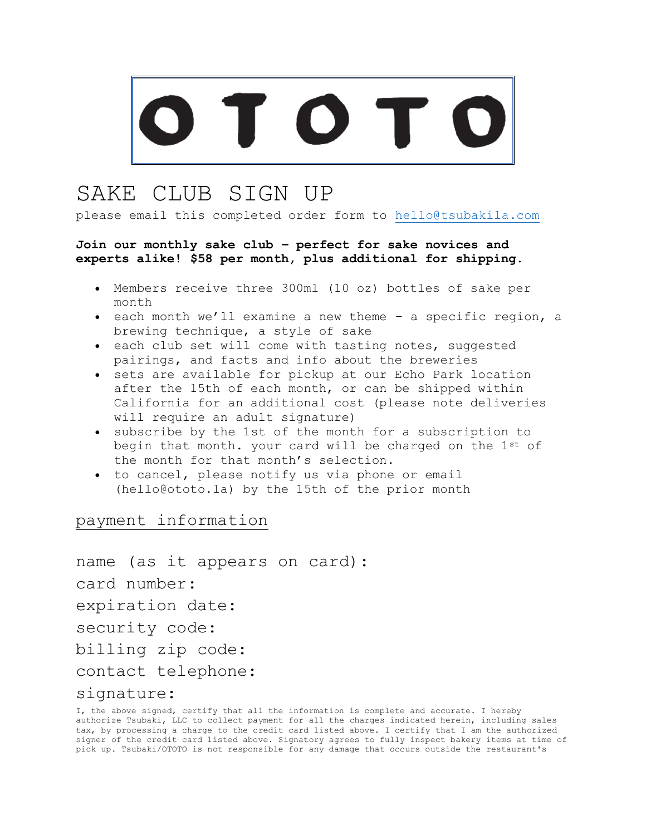## SAKE CLUB SIGN UP

please email this completed order form to [hello@tsubakila.com](mailto:hello@tsubakila.com)

## **Join our monthly sake club – perfect for sake novices and experts alike! \$58 per month, plus additional for shipping.**

- Members receive three 300ml (10 oz) bottles of sake per month
- each month we'll examine a new theme a specific region, a brewing technique, a style of sake
- each club set will come with tasting notes, suggested pairings, and facts and info about the breweries
- sets are available for pickup at our Echo Park location after the 15th of each month, or can be shipped within California for an additional cost (please note deliveries will require an adult signature)
- subscribe by the 1st of the month for a subscription to begin that month. your card will be charged on the 1st of the month for that month's selection.
- to cancel, please notify us via phone or email (hello@ototo.la) by the 15th of the prior month

payment information

name (as it appears on card): card number: expiration date: security code: billing zip code: contact telephone: signature:

I, the above signed, certify that all the information is complete and accurate. I hereby authorize Tsubaki, LLC to collect payment for all the charges indicated herein, including sales tax, by processing a charge to the credit card listed above. I certify that I am the authorized signer of the credit card listed above. Signatory agrees to fully inspect bakery items at time of pick up. Tsubaki/OTOTO is not responsible for any damage that occurs outside the restaurant's